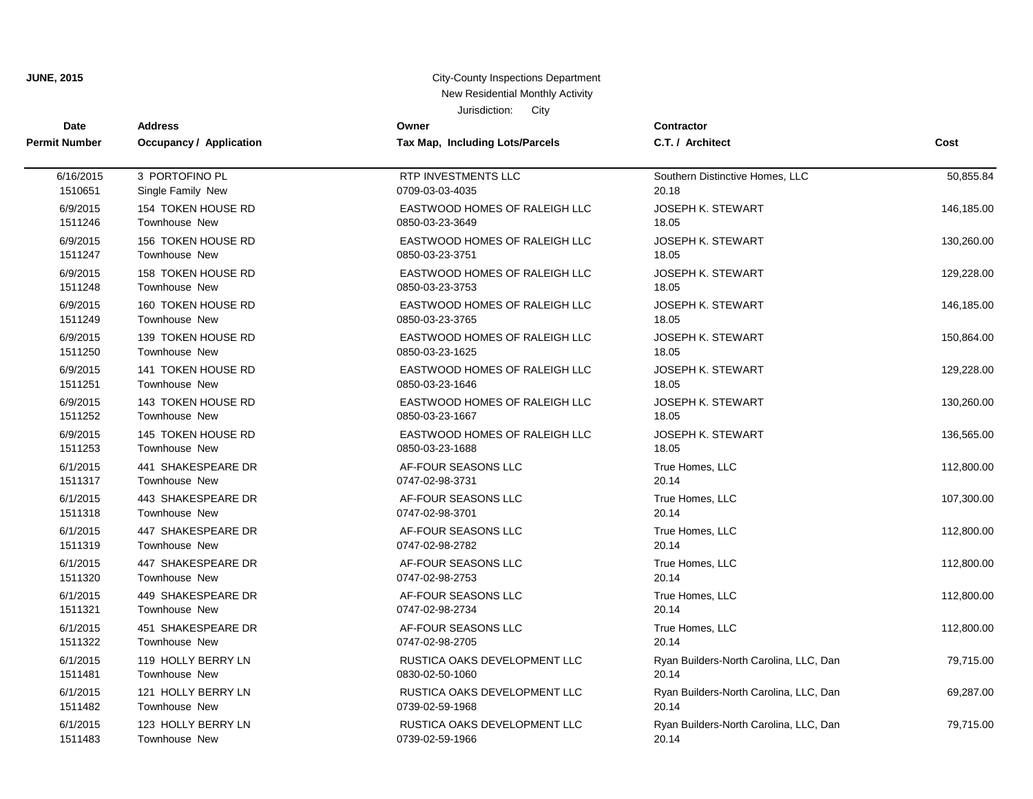Jurisdiction: City

| Date                 | <b>Address</b><br>Owner<br><b>Contractor</b> |                                 |                                        |            |
|----------------------|----------------------------------------------|---------------------------------|----------------------------------------|------------|
| <b>Permit Number</b> | Occupancy / Application                      | Tax Map, Including Lots/Parcels | C.T. / Architect                       | Cost       |
| 6/16/2015            | 3 PORTOFINO PL                               | RTP INVESTMENTS LLC             | Southern Distinctive Homes, LLC        | 50,855.84  |
| 1510651              | Single Family New                            | 0709-03-03-4035                 | 20.18                                  |            |
| 6/9/2015             | <b>154 TOKEN HOUSE RD</b>                    | EASTWOOD HOMES OF RALEIGH LLC   | <b>JOSEPH K. STEWART</b>               | 146,185.00 |
| 1511246              | Townhouse New                                | 0850-03-23-3649                 | 18.05                                  |            |
| 6/9/2015             | 156 TOKEN HOUSE RD                           | EASTWOOD HOMES OF RALEIGH LLC   | <b>JOSEPH K. STEWART</b>               | 130,260.00 |
| 1511247              | Townhouse New                                | 0850-03-23-3751                 | 18.05                                  |            |
| 6/9/2015             | 158 TOKEN HOUSE RD                           | EASTWOOD HOMES OF RALEIGH LLC   | <b>JOSEPH K. STEWART</b>               | 129,228.00 |
| 1511248              | Townhouse New                                | 0850-03-23-3753                 | 18.05                                  |            |
| 6/9/2015             | 160 TOKEN HOUSE RD                           | EASTWOOD HOMES OF RALEIGH LLC   | JOSEPH K. STEWART                      | 146,185.00 |
| 1511249              | Townhouse New                                | 0850-03-23-3765                 | 18.05                                  |            |
| 6/9/2015             | 139 TOKEN HOUSE RD                           | EASTWOOD HOMES OF RALEIGH LLC   | <b>JOSEPH K. STEWART</b>               | 150,864.00 |
| 1511250              | Townhouse New                                | 0850-03-23-1625                 | 18.05                                  |            |
| 6/9/2015             | 141 TOKEN HOUSE RD                           | EASTWOOD HOMES OF RALEIGH LLC   | <b>JOSEPH K. STEWART</b>               | 129,228.00 |
| 1511251              | Townhouse New                                | 0850-03-23-1646                 | 18.05                                  |            |
| 6/9/2015             | 143 TOKEN HOUSE RD                           | EASTWOOD HOMES OF RALEIGH LLC   | <b>JOSEPH K. STEWART</b>               | 130,260.00 |
| 1511252              | Townhouse New                                | 0850-03-23-1667                 | 18.05                                  |            |
| 6/9/2015             | 145 TOKEN HOUSE RD                           | EASTWOOD HOMES OF RALEIGH LLC   | JOSEPH K. STEWART                      | 136,565.00 |
| 1511253              | Townhouse New                                | 0850-03-23-1688                 | 18.05                                  |            |
| 6/1/2015             | 441 SHAKESPEARE DR                           | AF-FOUR SEASONS LLC             | True Homes, LLC                        | 112,800.00 |
| 1511317              | Townhouse New                                | 0747-02-98-3731                 | 20.14                                  |            |
| 6/1/2015             | 443 SHAKESPEARE DR                           | AF-FOUR SEASONS LLC             | True Homes, LLC                        | 107,300.00 |
| 1511318              | Townhouse New                                | 0747-02-98-3701                 | 20.14                                  |            |
| 6/1/2015             | 447 SHAKESPEARE DR                           | AF-FOUR SEASONS LLC             | True Homes, LLC                        | 112,800.00 |
| 1511319              | Townhouse New                                | 0747-02-98-2782                 | 20.14                                  |            |
| 6/1/2015             | 447 SHAKESPEARE DR                           | AF-FOUR SEASONS LLC             | True Homes, LLC                        | 112,800.00 |
| 1511320              | Townhouse New                                | 0747-02-98-2753                 | 20.14                                  |            |
| 6/1/2015             | 449 SHAKESPEARE DR                           | AF-FOUR SEASONS LLC             | True Homes, LLC                        | 112,800.00 |
| 1511321              | <b>Townhouse New</b>                         | 0747-02-98-2734                 | 20.14                                  |            |
| 6/1/2015             | 451 SHAKESPEARE DR                           | AF-FOUR SEASONS LLC             | True Homes, LLC                        | 112,800.00 |
| 1511322              | Townhouse New                                | 0747-02-98-2705                 | 20.14                                  |            |
| 6/1/2015             | 119 HOLLY BERRY LN                           | RUSTICA OAKS DEVELOPMENT LLC    | Ryan Builders-North Carolina, LLC, Dan | 79,715.00  |
| 1511481              | Townhouse New                                | 0830-02-50-1060                 | 20.14                                  |            |
| 6/1/2015             | 121 HOLLY BERRY LN                           | RUSTICA OAKS DEVELOPMENT LLC    | Ryan Builders-North Carolina, LLC, Dan | 69,287.00  |
| 1511482              | Townhouse New                                | 0739-02-59-1968                 | 20.14                                  |            |
| 6/1/2015             | 123 HOLLY BERRY LN                           | RUSTICA OAKS DEVELOPMENT LLC    | Ryan Builders-North Carolina, LLC, Dan | 79,715.00  |
| 1511483              | Townhouse New                                | 0739-02-59-1966                 | 20.14                                  |            |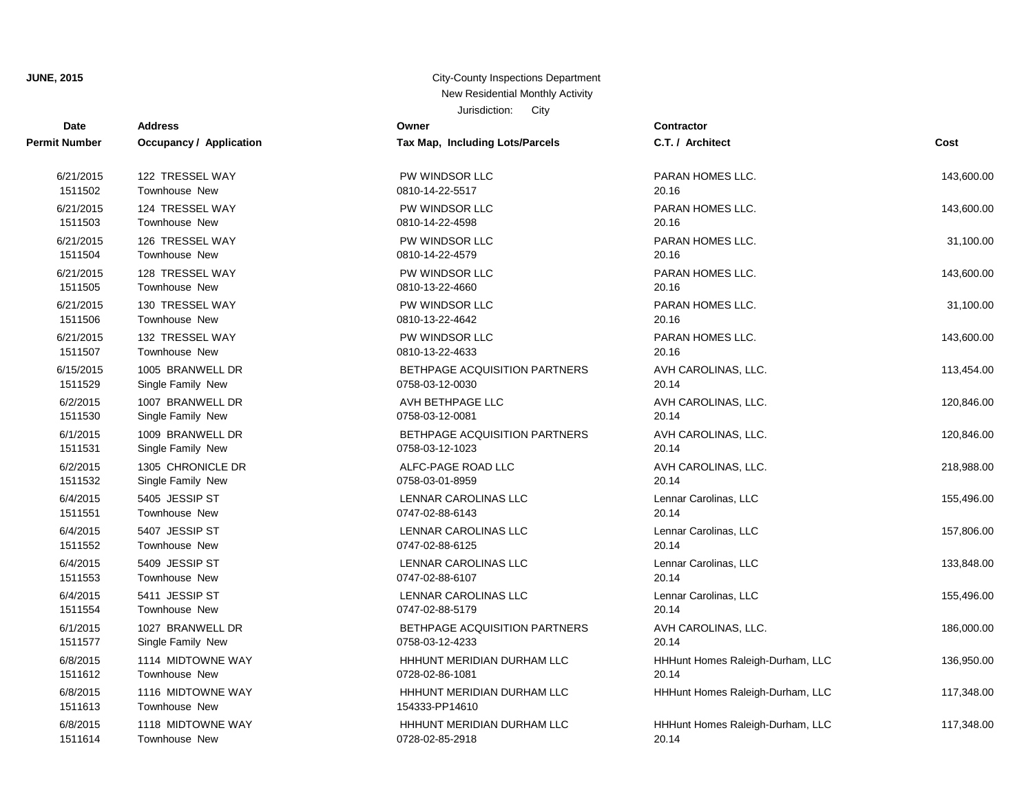| Date                 | <b>Address</b>                     | Owner                                        | <b>Contractor</b>                |            |
|----------------------|------------------------------------|----------------------------------------------|----------------------------------|------------|
| <b>Permit Number</b> | <b>Occupancy / Application</b>     | Tax Map, Including Lots/Parcels              | C.T. / Architect                 | Cost       |
| 6/21/2015            | 122 TRESSEL WAY                    | PW WINDSOR LLC                               | PARAN HOMES LLC.                 | 143,600.00 |
| 1511502              | <b>Townhouse New</b>               | 0810-14-22-5517                              | 20.16                            |            |
| 6/21/2015            | 124 TRESSEL WAY                    | PW WINDSOR LLC                               | PARAN HOMES LLC.                 | 143,600.00 |
| 1511503              | <b>Townhouse New</b>               | 0810-14-22-4598                              | 20.16                            |            |
| 6/21/2015            | 126 TRESSEL WAY                    | PW WINDSOR LLC                               | <b>PARAN HOMES LLC.</b>          | 31,100.00  |
| 1511504              | Townhouse New                      | 0810-14-22-4579                              | 20.16                            |            |
| 6/21/2015            | 128 TRESSEL WAY                    | PW WINDSOR LLC                               | PARAN HOMES LLC.                 | 143,600.00 |
| 1511505              | <b>Townhouse New</b>               | 0810-13-22-4660                              | 20.16                            |            |
| 6/21/2015            | 130 TRESSEL WAY                    | PW WINDSOR LLC                               | PARAN HOMES LLC.                 | 31,100.00  |
| 1511506              | <b>Townhouse New</b>               | 0810-13-22-4642                              | 20.16                            |            |
| 6/21/2015            | 132 TRESSEL WAY                    | PW WINDSOR LLC                               | <b>PARAN HOMES LLC.</b>          | 143,600.00 |
| 1511507              | <b>Townhouse New</b>               | 0810-13-22-4633                              | 20.16                            |            |
| 6/15/2015            | 1005 BRANWELL DR                   | BETHPAGE ACQUISITION PARTNERS                | AVH CAROLINAS, LLC.              | 113,454.00 |
| 1511529              | Single Family New                  | 0758-03-12-0030                              | 20.14                            |            |
| 6/2/2015             | 1007 BRANWELL DR                   | AVH BETHPAGE LLC                             | AVH CAROLINAS, LLC.              | 120,846.00 |
| 1511530              | Single Family New                  | 0758-03-12-0081                              | 20.14                            |            |
| 6/1/2015             | 1009 BRANWELL DR                   | BETHPAGE ACQUISITION PARTNERS                | AVH CAROLINAS, LLC.              | 120,846.00 |
| 1511531              | Single Family New                  | 0758-03-12-1023                              | 20.14                            |            |
| 6/2/2015             | 1305 CHRONICLE DR                  | ALFC-PAGE ROAD LLC                           | AVH CAROLINAS, LLC.              | 218,988.00 |
| 1511532              | Single Family New                  | 0758-03-01-8959                              | 20.14                            |            |
| 6/4/2015             | 5405 JESSIP ST                     | <b>LENNAR CAROLINAS LLC</b>                  | Lennar Carolinas, LLC            | 155,496.00 |
| 1511551              | Townhouse New                      | 0747-02-88-6143                              | 20.14                            |            |
| 6/4/2015             | 5407 JESSIP ST                     | LENNAR CAROLINAS LLC                         | Lennar Carolinas, LLC            | 157,806.00 |
| 1511552              | Townhouse New                      | 0747-02-88-6125                              | 20.14                            |            |
| 6/4/2015             | 5409 JESSIP ST                     | LENNAR CAROLINAS LLC                         | Lennar Carolinas, LLC            | 133,848.00 |
| 1511553              | Townhouse New                      | 0747-02-88-6107                              | 20.14                            |            |
| 6/4/2015             | 5411 JESSIP ST                     | LENNAR CAROLINAS LLC                         | Lennar Carolinas, LLC            | 155,496.00 |
| 1511554              | Townhouse New                      | 0747-02-88-5179                              | 20.14                            |            |
| 6/1/2015             | 1027 BRANWELL DR                   | BETHPAGE ACQUISITION PARTNERS                | AVH CAROLINAS, LLC.              | 186,000.00 |
| 1511577              | Single Family New                  | 0758-03-12-4233                              | 20.14                            |            |
| 6/8/2015             | 1114 MIDTOWNE WAY                  | HHHUNT MERIDIAN DURHAM LLC                   | HHHunt Homes Raleigh-Durham, LLC | 136,950.00 |
| 1511612              | <b>Townhouse New</b>               | 0728-02-86-1081                              | 20.14                            |            |
| 6/8/2015<br>1511613  | 1116 MIDTOWNE WAY<br>Townhouse New | HHHUNT MERIDIAN DURHAM LLC<br>154333-PP14610 | HHHunt Homes Raleigh-Durham, LLC | 117,348.00 |
| 6/8/2015             | 1118 MIDTOWNE WAY                  | HHHUNT MERIDIAN DURHAM LLC                   | HHHunt Homes Raleigh-Durham, LLC | 117,348.00 |
| 1511614              | Townhouse New                      | 0728-02-85-2918                              | 20.14                            |            |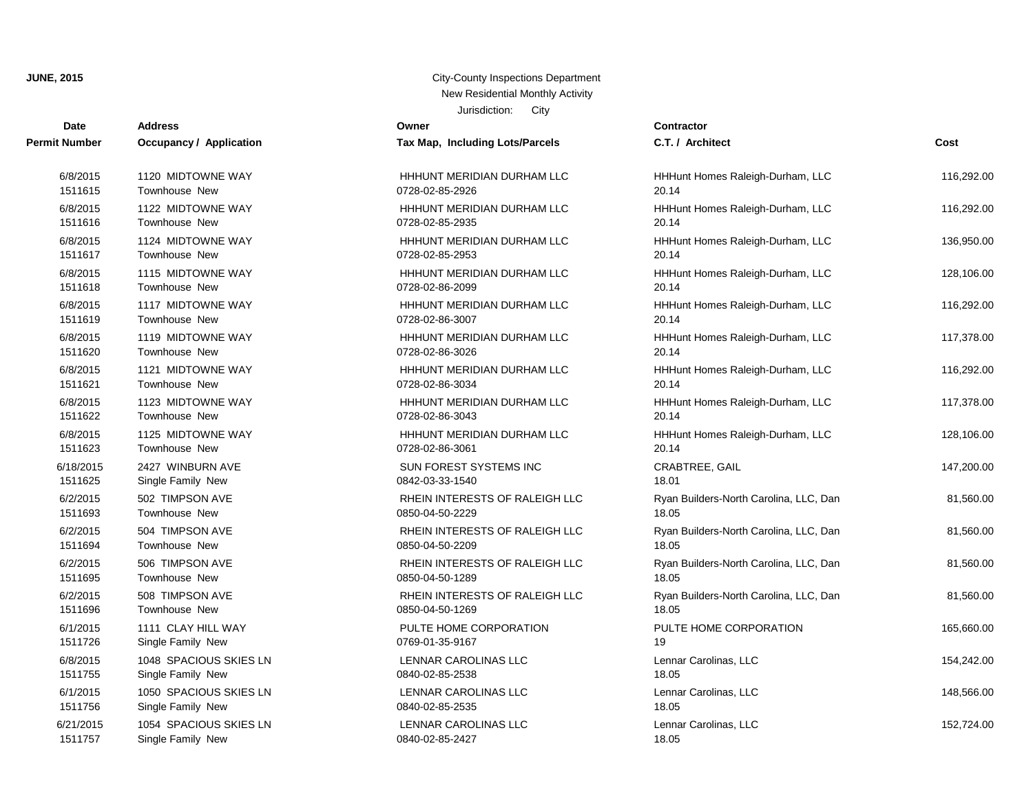| <b>Date</b>          | <b>Address</b>                 | Owner                           | Contractor                             |            |
|----------------------|--------------------------------|---------------------------------|----------------------------------------|------------|
| <b>Permit Number</b> | <b>Occupancy / Application</b> | Tax Map, Including Lots/Parcels | C.T. / Architect                       | Cost       |
| 6/8/2015             | 1120 MIDTOWNE WAY              | HHHUNT MERIDIAN DURHAM LLC      | HHHunt Homes Raleigh-Durham, LLC       | 116,292.00 |
| 1511615              | <b>Townhouse New</b>           | 0728-02-85-2926                 | 20.14                                  |            |
| 6/8/2015             | 1122 MIDTOWNE WAY              | HHHUNT MERIDIAN DURHAM LLC      | HHHunt Homes Raleigh-Durham, LLC       | 116,292.00 |
| 1511616              | Townhouse New                  | 0728-02-85-2935                 | 20.14                                  |            |
| 6/8/2015             | 1124 MIDTOWNE WAY              | HHHUNT MERIDIAN DURHAM LLC      | HHHunt Homes Raleigh-Durham, LLC       | 136,950.00 |
| 1511617              | <b>Townhouse New</b>           | 0728-02-85-2953                 | 20.14                                  |            |
| 6/8/2015             | 1115 MIDTOWNE WAY              | HHHUNT MERIDIAN DURHAM LLC      | HHHunt Homes Raleigh-Durham, LLC       | 128,106.00 |
| 1511618              | Townhouse New                  | 0728-02-86-2099                 | 20.14                                  |            |
| 6/8/2015             | 1117 MIDTOWNE WAY              | HHHUNT MERIDIAN DURHAM LLC      | HHHunt Homes Raleigh-Durham, LLC       | 116,292.00 |
| 1511619              | <b>Townhouse New</b>           | 0728-02-86-3007                 | 20.14                                  |            |
| 6/8/2015             | 1119 MIDTOWNE WAY              | HHHUNT MERIDIAN DURHAM LLC      | HHHunt Homes Raleigh-Durham, LLC       | 117,378.00 |
| 1511620              | <b>Townhouse New</b>           | 0728-02-86-3026                 | 20.14                                  |            |
| 6/8/2015             | 1121 MIDTOWNE WAY              | HHHUNT MERIDIAN DURHAM LLC      | HHHunt Homes Raleigh-Durham, LLC       | 116,292.00 |
| 1511621              | <b>Townhouse New</b>           | 0728-02-86-3034                 | 20.14                                  |            |
| 6/8/2015             | 1123 MIDTOWNE WAY              | HHHUNT MERIDIAN DURHAM LLC      | HHHunt Homes Raleigh-Durham, LLC       | 117,378.00 |
| 1511622              | <b>Townhouse New</b>           | 0728-02-86-3043                 | 20.14                                  |            |
| 6/8/2015             | 1125 MIDTOWNE WAY              | HHHUNT MERIDIAN DURHAM LLC      | HHHunt Homes Raleigh-Durham, LLC       | 128,106.00 |
| 1511623              | Townhouse New                  | 0728-02-86-3061                 | 20.14                                  |            |
| 6/18/2015            | 2427 WINBURN AVE               | SUN FOREST SYSTEMS INC          | CRABTREE, GAIL                         | 147,200.00 |
| 1511625              | Single Family New              | 0842-03-33-1540                 | 18.01                                  |            |
| 6/2/2015             | 502 TIMPSON AVE                | RHEIN INTERESTS OF RALEIGH LLC  | Ryan Builders-North Carolina, LLC, Dan | 81,560.00  |
| 1511693              | Townhouse New                  | 0850-04-50-2229                 | 18.05                                  |            |
| 6/2/2015             | 504 TIMPSON AVE                | RHEIN INTERESTS OF RALEIGH LLC  | Ryan Builders-North Carolina, LLC, Dan | 81,560.00  |
| 1511694              | Townhouse New                  | 0850-04-50-2209                 | 18.05                                  |            |
| 6/2/2015             | 506 TIMPSON AVE                | RHEIN INTERESTS OF RALEIGH LLC  | Ryan Builders-North Carolina, LLC, Dan | 81,560.00  |
| 1511695              | Townhouse New                  | 0850-04-50-1289                 | 18.05                                  |            |
| 6/2/2015             | 508 TIMPSON AVE                | RHEIN INTERESTS OF RALEIGH LLC  | Ryan Builders-North Carolina, LLC, Dan | 81,560.00  |
| 1511696              | <b>Townhouse New</b>           | 0850-04-50-1269                 | 18.05                                  |            |
| 6/1/2015             | 1111 CLAY HILL WAY             | PULTE HOME CORPORATION          | PULTE HOME CORPORATION                 | 165,660.00 |
| 1511726              | Single Family New              | 0769-01-35-9167                 | 19                                     |            |
| 6/8/2015             | 1048 SPACIOUS SKIES LN         | LENNAR CAROLINAS LLC            | Lennar Carolinas, LLC                  | 154,242.00 |
| 1511755              | Single Family New              | 0840-02-85-2538                 | 18.05                                  |            |
| 6/1/2015             | 1050 SPACIOUS SKIES LN         | <b>LENNAR CAROLINAS LLC</b>     | Lennar Carolinas, LLC                  | 148,566.00 |
| 1511756              | Single Family New              | 0840-02-85-2535                 | 18.05                                  |            |
| 6/21/2015            | 1054 SPACIOUS SKIES LN         | <b>LENNAR CAROLINAS LLC</b>     | Lennar Carolinas, LLC                  | 152,724.00 |
| 1511757              | Single Family New              | 0840-02-85-2427                 | 18.05                                  |            |

| unu actor<br>C.T. / Architect                   | Cost       |
|-------------------------------------------------|------------|
| HHHunt Homes Raleigh-Durham, LLC<br>20.14       | 116,292.00 |
| HHHunt Homes Raleigh-Durham, LLC<br>20.14       | 116,292.00 |
| HHHunt Homes Raleigh-Durham, LLC<br>20.14       | 136,950.00 |
| HHHunt Homes Raleigh-Durham, LLC<br>20.14       | 128,106.00 |
| HHHunt Homes Raleigh-Durham, LLC<br>20.14       | 116,292.00 |
| HHHunt Homes Raleigh-Durham, LLC<br>20.14       | 117,378.00 |
| HHHunt Homes Raleigh-Durham, LLC<br>20.14       | 116,292.00 |
| HHHunt Homes Raleigh-Durham, LLC<br>20.14       | 117,378.00 |
| HHHunt Homes Raleigh-Durham, LLC<br>20.14       | 128,106.00 |
| <b>CRABTREE, GAIL</b><br>18.01                  | 147,200.00 |
| Ryan Builders-North Carolina, LLC, Dan<br>18.05 | 81,560.00  |
| Ryan Builders-North Carolina, LLC, Dan<br>18.05 | 81,560.00  |
| Ryan Builders-North Carolina, LLC, Dan<br>18.05 | 81,560.00  |
| Ryan Builders-North Carolina, LLC, Dan<br>18.05 | 81,560.00  |
| PULTE HOME CORPORATION<br>19                    | 165,660.00 |
| Lennar Carolinas, LLC<br>18.05                  | 154,242.00 |
| Lennar Carolinas, LLC<br>18.05                  | 148,566.00 |
| Lennar Carolinas, LLC                           | 152,724.00 |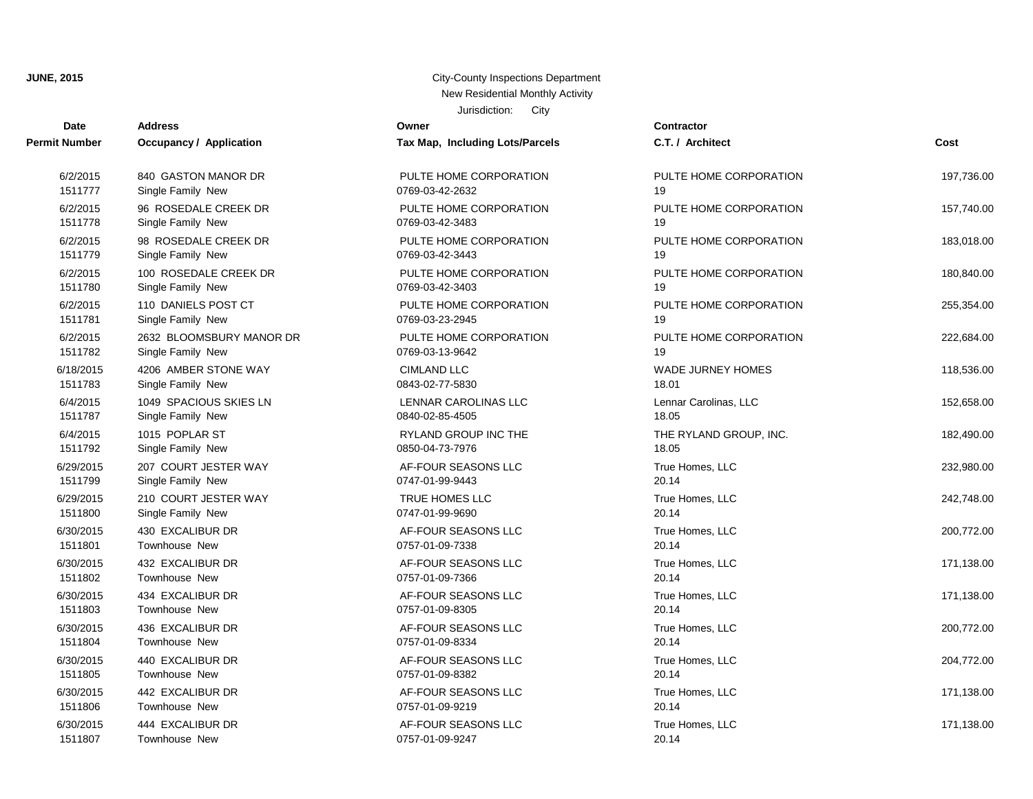| <b>Date</b>   | <b>Address</b>                 | Owner                           | <b>Contractor</b>        |            |
|---------------|--------------------------------|---------------------------------|--------------------------|------------|
| Permit Number | <b>Occupancy / Application</b> | Tax Map, Including Lots/Parcels | C.T. / Architect         | Cost       |
| 6/2/2015      | 840 GASTON MANOR DR            | PULTE HOME CORPORATION          | PULTE HOME CORPORATION   | 197,736.00 |
| 1511777       | Single Family New              | 0769-03-42-2632                 | 19                       |            |
| 6/2/2015      | 96 ROSEDALE CREEK DR           | PULTE HOME CORPORATION          | PULTE HOME CORPORATION   | 157,740.00 |
| 1511778       | Single Family New              | 0769-03-42-3483                 | 19                       |            |
| 6/2/2015      | 98 ROSEDALE CREEK DR           | PULTE HOME CORPORATION          | PULTE HOME CORPORATION   | 183,018.00 |
| 1511779       | Single Family New              | 0769-03-42-3443                 | 19                       |            |
| 6/2/2015      | 100 ROSEDALE CREEK DR          | PULTE HOME CORPORATION          | PULTE HOME CORPORATION   | 180,840.00 |
| 1511780       | Single Family New              | 0769-03-42-3403                 | 19                       |            |
| 6/2/2015      | 110 DANIELS POST CT            | PULTE HOME CORPORATION          | PULTE HOME CORPORATION   | 255,354.00 |
| 1511781       | Single Family New              | 0769-03-23-2945                 | 19                       |            |
| 6/2/2015      | 2632 BLOOMSBURY MANOR DR       | PULTE HOME CORPORATION          | PULTE HOME CORPORATION   | 222,684.00 |
| 1511782       | Single Family New              | 0769-03-13-9642                 | 19                       |            |
| 6/18/2015     | 4206 AMBER STONE WAY           | <b>CIMLAND LLC</b>              | <b>WADE JURNEY HOMES</b> | 118,536.00 |
| 1511783       | Single Family New              | 0843-02-77-5830                 | 18.01                    |            |
| 6/4/2015      | 1049 SPACIOUS SKIES LN         | LENNAR CAROLINAS LLC            | Lennar Carolinas, LLC    | 152,658.00 |
| 1511787       | Single Family New              | 0840-02-85-4505                 | 18.05                    |            |
| 6/4/2015      | 1015 POPLAR ST                 | <b>RYLAND GROUP INC THE</b>     | THE RYLAND GROUP, INC.   | 182,490.00 |
| 1511792       | Single Family New              | 0850-04-73-7976                 | 18.05                    |            |
| 6/29/2015     | 207 COURT JESTER WAY           | AF-FOUR SEASONS LLC             | True Homes, LLC          | 232,980.00 |
| 1511799       | Single Family New              | 0747-01-99-9443                 | 20.14                    |            |
| 6/29/2015     | 210 COURT JESTER WAY           | TRUE HOMES LLC                  | True Homes, LLC          | 242,748.00 |
| 1511800       | Single Family New              | 0747-01-99-9690                 | 20.14                    |            |
| 6/30/2015     | 430 EXCALIBUR DR               | AF-FOUR SEASONS LLC             | True Homes, LLC          | 200,772.00 |
| 1511801       | <b>Townhouse New</b>           | 0757-01-09-7338                 | 20.14                    |            |
| 6/30/2015     | 432 EXCALIBUR DR               | AF-FOUR SEASONS LLC             | True Homes, LLC          | 171,138.00 |
| 1511802       | <b>Townhouse New</b>           | 0757-01-09-7366                 | 20.14                    |            |
| 6/30/2015     | 434 EXCALIBUR DR               | AF-FOUR SEASONS LLC             | True Homes, LLC          | 171,138.00 |
| 1511803       | Townhouse New                  | 0757-01-09-8305                 | 20.14                    |            |
| 6/30/2015     | 436 EXCALIBUR DR               | AF-FOUR SEASONS LLC             | True Homes, LLC          | 200,772.00 |
| 1511804       | <b>Townhouse New</b>           | 0757-01-09-8334                 | 20.14                    |            |
| 6/30/2015     | 440 EXCALIBUR DR               | AF-FOUR SEASONS LLC             | True Homes, LLC          | 204,772.00 |
| 1511805       | <b>Townhouse New</b>           | 0757-01-09-8382                 | 20.14                    |            |
| 6/30/2015     | 442 EXCALIBUR DR               | AF-FOUR SEASONS LLC             | True Homes, LLC          | 171,138.00 |
| 1511806       | Townhouse New                  | 0757-01-09-9219                 | 20.14                    |            |
| 6/30/2015     | 444 EXCALIBUR DR               | AF-FOUR SEASONS LLC             | True Homes, LLC          | 171,138.00 |
| 1511807       | <b>Townhouse New</b>           | 0757-01-09-9247                 | 20.14                    |            |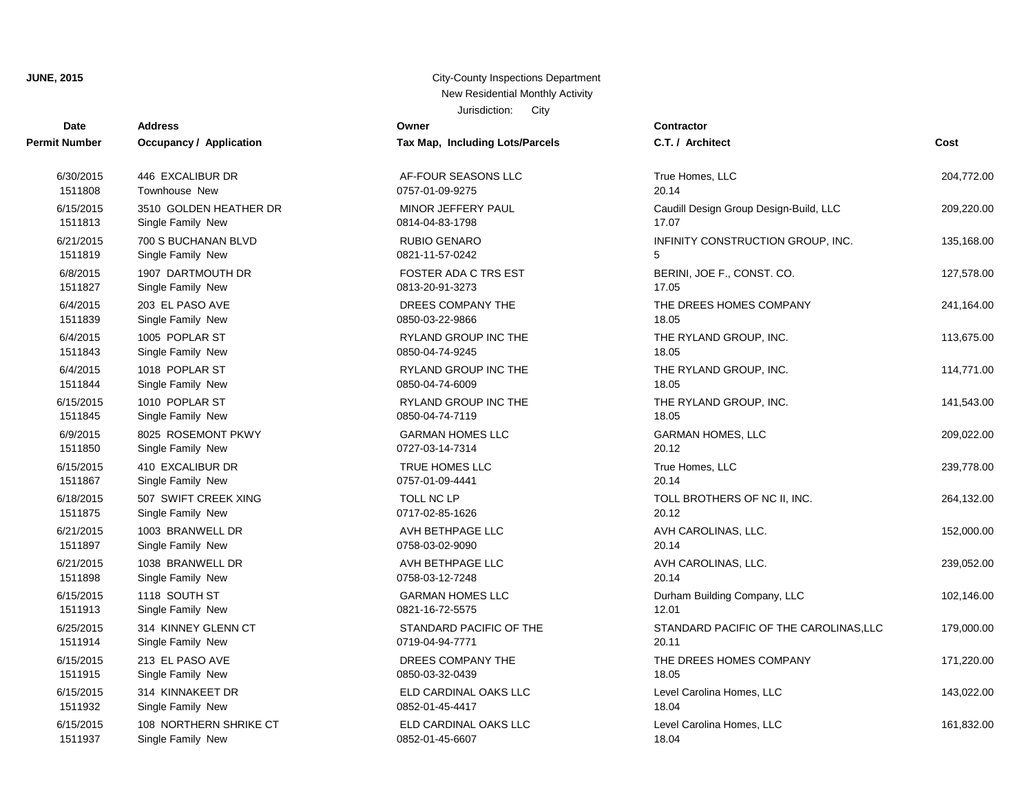| Date                 | <b>Address</b>                 | Owner                           | Contractor         |
|----------------------|--------------------------------|---------------------------------|--------------------|
| <b>Permit Number</b> | <b>Occupancy / Application</b> | Tax Map, Including Lots/Parcels | C.T. / Arch        |
| 6/30/2015            | 446 EXCALIBUR DR               | AF-FOUR SEASONS LLC             | <b>True Home</b>   |
| 1511808              | Townhouse New                  | 0757-01-09-9275                 | 20.14              |
| 6/15/2015            | 3510 GOLDEN HEATHER DR         | MINOR JEFFERY PAUL              | Caudill Des        |
| 1511813              | Single Family New              | 0814-04-83-1798                 | 17.07              |
| 6/21/2015            | 700 S BUCHANAN BLVD            | <b>RUBIO GENARO</b>             | <b>INFINITY C</b>  |
| 1511819              | Single Family New              | 0821-11-57-0242                 | 5                  |
| 6/8/2015             | 1907 DARTMOUTH DR              | <b>FOSTER ADA C TRS EST</b>     | BERINI, JC         |
| 1511827              | Single Family New              | 0813-20-91-3273                 | 17.05              |
| 6/4/2015             | 203 EL PASO AVE                | DREES COMPANY THE               | THE DREE           |
| 1511839              | Single Family New              | 0850-03-22-9866                 | 18.05              |
| 6/4/2015             | 1005 POPLAR ST                 | <b>RYLAND GROUP INC THE</b>     | <b>THE RYLA</b>    |
| 1511843              | Single Family New              | 0850-04-74-9245                 | 18.05              |
| 6/4/2015             | 1018 POPLAR ST                 | RYLAND GROUP INC THE            | THE RYLA           |
| 1511844              | Single Family New              | 0850-04-74-6009                 | 18.05              |
| 6/15/2015            | 1010 POPLAR ST                 | RYLAND GROUP INC THE            | THE RYLA           |
| 1511845              | Single Family New              | 0850-04-74-7119                 | 18.05              |
| 6/9/2015             | 8025 ROSEMONT PKWY             | <b>GARMAN HOMES LLC</b>         | <b>GARMAN H</b>    |
| 1511850              | Single Family New              | 0727-03-14-7314                 | 20.12              |
| 6/15/2015            | 410 EXCALIBUR DR               | TRUE HOMES LLC                  | <b>True Home</b>   |
| 1511867              | Single Family New              | 0757-01-09-4441                 | 20.14              |
| 6/18/2015            | 507 SWIFT CREEK XING           | TOLL NC LP                      | <b>TOLL BRO</b>    |
| 1511875              | Single Family New              | 0717-02-85-1626                 | 20.12              |
| 6/21/2015            | 1003 BRANWELL DR               | AVH BETHPAGE LLC                | AVH CARC           |
| 1511897              | Single Family New              | 0758-03-02-9090                 | 20.14              |
| 6/21/2015            | 1038 BRANWELL DR               | AVH BETHPAGE LLC                | AVH CARC           |
| 1511898              | Single Family New              | 0758-03-12-7248                 | 20.14              |
| 6/15/2015            | 1118 SOUTH ST                  | <b>GARMAN HOMES LLC</b>         | Durham Bu          |
| 1511913              | Single Family New              | 0821-16-72-5575                 | 12.01              |
| 6/25/2015            | 314 KINNEY GLENN CT            | STANDARD PACIFIC OF THE         | <b>STANDARI</b>    |
| 1511914              | Single Family New              | 0719-04-94-7771                 | 20.11              |
| 6/15/2015            | 213 EL PASO AVE                | DREES COMPANY THE               | THE DREE           |
| 1511915              | Single Family New              | 0850-03-32-0439                 | 18.05              |
| 6/15/2015            | 314 KINNAKEET DR               | ELD CARDINAL OAKS LLC           | <b>Level Carol</b> |
| 1511932              | Single Family New              | 0852-01-45-4417                 | 18.04              |
| 6/15/2015            | 108 NORTHERN SHRIKE CT         | ELD CARDINAL OAKS LLC           | Level Carol        |

Jurisdiction: City AF-FOUR SEASONS LLC MINOR JEFFERY PAUL 0757-01-09-9275 0814-04-83-1798

1511937 Single Family New 20052-01-45-6607 0852-01-45-6607

| t Number  | Occupancy / Application | Tax Map, Including Lots/Parcels | C.T. / Architect                       | Cost       |
|-----------|-------------------------|---------------------------------|----------------------------------------|------------|
| 6/30/2015 | 446 EXCALIBUR DR        | AF-FOUR SEASONS LLC             | True Homes, LLC                        | 204,772.00 |
| 1511808   | <b>Townhouse New</b>    | 0757-01-09-9275                 | 20.14                                  |            |
| 6/15/2015 | 3510 GOLDEN HEATHER DR  | MINOR JEFFERY PAUL              | Caudill Design Group Design-Build, LLC | 209,220.00 |
| 1511813   | Single Family New       | 0814-04-83-1798                 | 17.07                                  |            |
| 6/21/2015 | 700 S BUCHANAN BLVD     | <b>RUBIO GENARO</b>             | INFINITY CONSTRUCTION GROUP, INC.      | 135,168.00 |
| 1511819   | Single Family New       | 0821-11-57-0242                 | 5                                      |            |
| 6/8/2015  | 1907 DARTMOUTH DR       | FOSTER ADA C TRS EST            | BERINI, JOE F., CONST. CO.             | 127,578.00 |
| 1511827   | Single Family New       | 0813-20-91-3273                 | 17.05                                  |            |
| 6/4/2015  | 203 EL PASO AVE         | DREES COMPANY THE               | THE DREES HOMES COMPANY                | 241,164.00 |
| 1511839   | Single Family New       | 0850-03-22-9866                 | 18.05                                  |            |
| 6/4/2015  | 1005 POPLAR ST          | RYLAND GROUP INC THE            | THE RYLAND GROUP, INC.                 | 113,675.00 |
| 1511843   | Single Family New       | 0850-04-74-9245                 | 18.05                                  |            |
| 6/4/2015  | 1018 POPLAR ST          | RYLAND GROUP INC THE            | THE RYLAND GROUP, INC.                 | 114,771.00 |
| 1511844   | Single Family New       | 0850-04-74-6009                 | 18.05                                  |            |
| 6/15/2015 | 1010 POPLAR ST          | RYLAND GROUP INC THE            | THE RYLAND GROUP, INC.                 | 141,543.00 |
| 1511845   | Single Family New       | 0850-04-74-7119                 | 18.05                                  |            |
| 6/9/2015  | 8025 ROSEMONT PKWY      | <b>GARMAN HOMES LLC</b>         | <b>GARMAN HOMES, LLC</b>               | 209,022.00 |
| 1511850   | Single Family New       | 0727-03-14-7314                 | 20.12                                  |            |
| 6/15/2015 | 410 EXCALIBUR DR        | TRUE HOMES LLC                  | True Homes, LLC                        | 239,778.00 |
| 1511867   | Single Family New       | 0757-01-09-4441                 | 20.14                                  |            |
| 6/18/2015 | 507 SWIFT CREEK XING    | TOLL NC LP                      | TOLL BROTHERS OF NC II, INC.           | 264,132.00 |
| 1511875   | Single Family New       | 0717-02-85-1626                 | 20.12                                  |            |
| 6/21/2015 | 1003 BRANWELL DR        | AVH BETHPAGE LLC                | AVH CAROLINAS, LLC.                    | 152,000.00 |
| 1511897   | Single Family New       | 0758-03-02-9090                 | 20.14                                  |            |
| 6/21/2015 | 1038 BRANWELL DR        | AVH BETHPAGE LLC                | AVH CAROLINAS, LLC.                    | 239,052.00 |
| 1511898   | Single Family New       | 0758-03-12-7248                 | 20.14                                  |            |
| 6/15/2015 | 1118 SOUTH ST           | <b>GARMAN HOMES LLC</b>         | Durham Building Company, LLC           | 102,146.00 |
| 1511913   | Single Family New       | 0821-16-72-5575                 | 12.01                                  |            |
| 6/25/2015 | 314 KINNEY GLENN CT     | STANDARD PACIFIC OF THE         | STANDARD PACIFIC OF THE CAROLINAS, LLC | 179,000.00 |
| 1511914   | Single Family New       | 0719-04-94-7771                 | 20.11                                  |            |
| 6/15/2015 | 213 EL PASO AVE         | DREES COMPANY THE               | THE DREES HOMES COMPANY                | 171,220.00 |
| 1511915   | Single Family New       | 0850-03-32-0439                 | 18.05                                  |            |
| 6/15/2015 | 314 KINNAKEET DR        | ELD CARDINAL OAKS LLC           | Level Carolina Homes, LLC              | 143,022.00 |
| 1511932   | Single Family New       | 0852-01-45-4417                 | 18.04                                  |            |
| 6/15/2015 | 108 NORTHERN SHRIKE CT  | ELD CARDINAL OAKS LLC           | Level Carolina Homes, LLC              | 161,832.00 |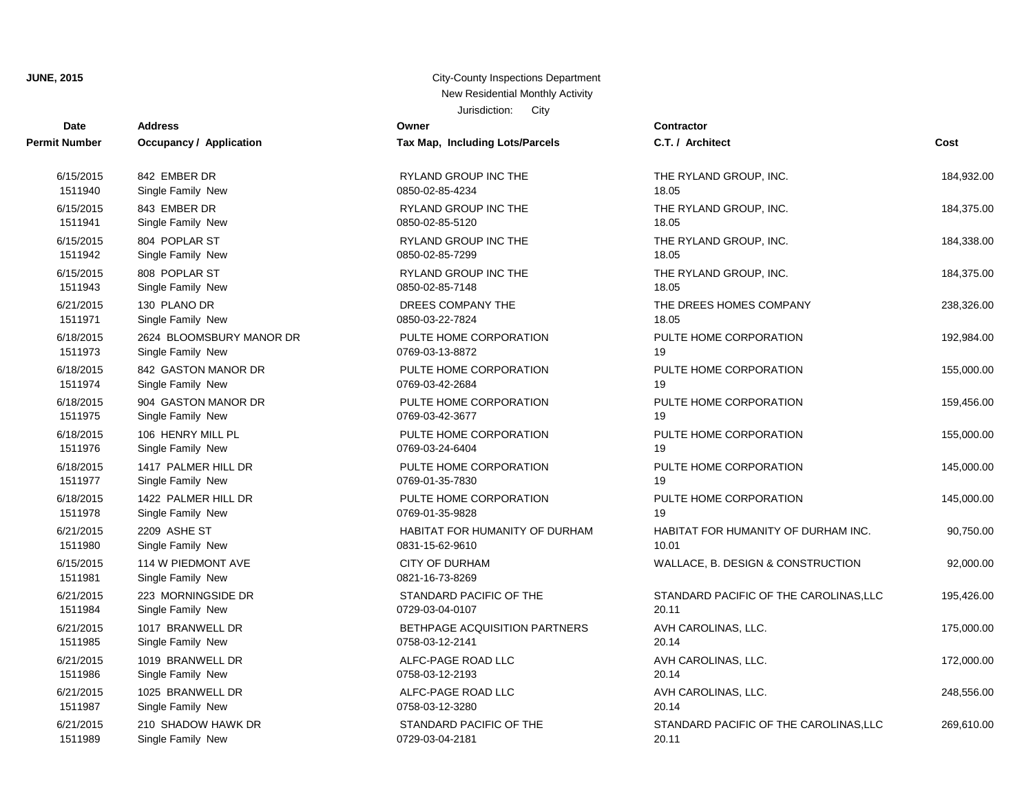| Date                 | <b>Address</b>                          | Owner                                    | <b>Contractor</b>                      |            |
|----------------------|-----------------------------------------|------------------------------------------|----------------------------------------|------------|
| Permit Number        | <b>Occupancy / Application</b>          | Tax Map, Including Lots/Parcels          | C.T. / Architect                       | Cost       |
| 6/15/2015            | 842 EMBER DR                            | RYLAND GROUP INC THE                     | THE RYLAND GROUP, INC.                 | 184,932.00 |
| 1511940              | Single Family New                       | 0850-02-85-4234                          | 18.05                                  |            |
| 6/15/2015            | 843 EMBER DR                            | RYLAND GROUP INC THE                     | THE RYLAND GROUP, INC.                 | 184,375.00 |
| 1511941              | Single Family New                       | 0850-02-85-5120                          | 18.05                                  |            |
| 6/15/2015            | 804 POPLAR ST                           | RYLAND GROUP INC THE                     | THE RYLAND GROUP, INC.                 | 184,338.00 |
| 1511942              | Single Family New                       | 0850-02-85-7299                          | 18.05                                  |            |
| 6/15/2015            | 808 POPLAR ST                           | RYLAND GROUP INC THE                     | THE RYLAND GROUP, INC.                 | 184,375.00 |
| 1511943              | Single Family New                       | 0850-02-85-7148                          | 18.05                                  |            |
| 6/21/2015            | 130 PLANO DR                            | DREES COMPANY THE                        | THE DREES HOMES COMPANY                | 238,326.00 |
| 1511971              | Single Family New                       | 0850-03-22-7824                          | 18.05                                  |            |
| 6/18/2015            | 2624 BLOOMSBURY MANOR DR                | PULTE HOME CORPORATION                   | PULTE HOME CORPORATION                 | 192,984.00 |
| 1511973              | Single Family New                       | 0769-03-13-8872                          | 19                                     |            |
| 6/18/2015            | 842 GASTON MANOR DR                     | PULTE HOME CORPORATION                   | PULTE HOME CORPORATION                 | 155,000.00 |
| 1511974              | Single Family New                       | 0769-03-42-2684                          | 19                                     |            |
| 6/18/2015            | 904 GASTON MANOR DR                     | PULTE HOME CORPORATION                   | PULTE HOME CORPORATION                 | 159,456.00 |
| 1511975              | Single Family New                       | 0769-03-42-3677                          | 19                                     |            |
| 6/18/2015            | 106 HENRY MILL PL                       | PULTE HOME CORPORATION                   | PULTE HOME CORPORATION                 | 155,000.00 |
| 1511976              | Single Family New                       | 0769-03-24-6404                          | 19                                     |            |
| 6/18/2015            | 1417 PALMER HILL DR                     | PULTE HOME CORPORATION                   | PULTE HOME CORPORATION                 | 145,000.00 |
| 1511977              | Single Family New                       | 0769-01-35-7830                          | 19                                     |            |
| 6/18/2015            | 1422 PALMER HILL DR                     | PULTE HOME CORPORATION                   | PULTE HOME CORPORATION                 | 145,000.00 |
| 1511978              | Single Family New                       | 0769-01-35-9828                          | 19                                     |            |
| 6/21/2015            | 2209 ASHE ST                            | HABITAT FOR HUMANITY OF DURHAM           | HABITAT FOR HUMANITY OF DURHAM INC.    | 90,750.00  |
| 1511980              | Single Family New                       | 0831-15-62-9610                          | 10.01                                  |            |
| 6/15/2015<br>1511981 | 114 W PIEDMONT AVE<br>Single Family New | <b>CITY OF DURHAM</b><br>0821-16-73-8269 | WALLACE, B. DESIGN & CONSTRUCTION      | 92,000.00  |
| 6/21/2015            | 223 MORNINGSIDE DR                      | STANDARD PACIFIC OF THE                  | STANDARD PACIFIC OF THE CAROLINAS, LLC | 195,426.00 |
| 1511984              | Single Family New                       | 0729-03-04-0107                          | 20.11                                  |            |
| 6/21/2015            | 1017 BRANWELL DR                        | BETHPAGE ACQUISITION PARTNERS            | AVH CAROLINAS, LLC.                    | 175,000.00 |
| 1511985              | Single Family New                       | 0758-03-12-2141                          | 20.14                                  |            |
| 6/21/2015            | 1019 BRANWELL DR                        | ALFC-PAGE ROAD LLC                       | AVH CAROLINAS, LLC.                    | 172,000.00 |
| 1511986              | Single Family New                       | 0758-03-12-2193                          | 20.14                                  |            |
| 6/21/2015            | 1025 BRANWELL DR                        | ALFC-PAGE ROAD LLC                       | AVH CAROLINAS, LLC.                    | 248,556.00 |
| 1511987              | Single Family New                       | 0758-03-12-3280                          | 20.14                                  |            |
| 6/21/2015            | 210 SHADOW HAWK DR                      | STANDARD PACIFIC OF THE                  | STANDARD PACIFIC OF THE CAROLINAS, LLC | 269,610.00 |
| 1511989              | Single Family New                       | 0729-03-04-2181                          | 20.11                                  |            |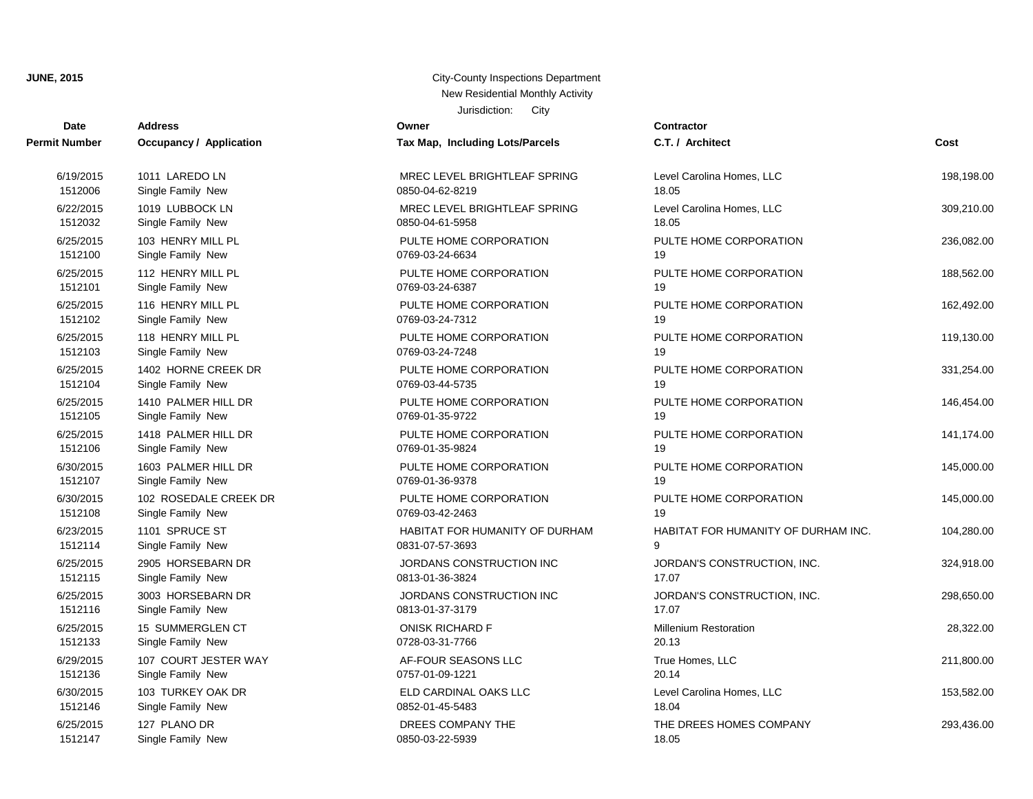| Date                 | <b>Address</b>                 | Owner                           | <b>Contractor</b>                   |            |
|----------------------|--------------------------------|---------------------------------|-------------------------------------|------------|
| <b>Permit Number</b> | <b>Occupancy / Application</b> | Tax Map, Including Lots/Parcels | C.T. / Architect                    | Cost       |
| 6/19/2015            | 1011 LAREDO LN                 | MREC LEVEL BRIGHTLEAF SPRING    | Level Carolina Homes, LLC           | 198,198.00 |
| 1512006              | Single Family New              | 0850-04-62-8219                 | 18.05                               |            |
| 6/22/2015            | 1019 LUBBOCK LN                | MREC LEVEL BRIGHTLEAF SPRING    | Level Carolina Homes, LLC           | 309,210.00 |
| 1512032              | Single Family New              | 0850-04-61-5958                 | 18.05                               |            |
| 6/25/2015            | 103 HENRY MILL PL              | PULTE HOME CORPORATION          | PULTE HOME CORPORATION              | 236,082.00 |
| 1512100              | Single Family New              | 0769-03-24-6634                 | 19                                  |            |
| 6/25/2015            | 112 HENRY MILL PL              | PULTE HOME CORPORATION          | PULTE HOME CORPORATION              | 188,562.00 |
| 1512101              | Single Family New              | 0769-03-24-6387                 | 19                                  |            |
| 6/25/2015            | 116 HENRY MILL PL              | PULTE HOME CORPORATION          | PULTE HOME CORPORATION              | 162,492.00 |
| 1512102              | Single Family New              | 0769-03-24-7312                 | 19                                  |            |
| 6/25/2015            | 118 HENRY MILL PL              | PULTE HOME CORPORATION          | PULTE HOME CORPORATION              | 119,130.00 |
| 1512103              | Single Family New              | 0769-03-24-7248                 | 19                                  |            |
| 6/25/2015            | 1402 HORNE CREEK DR            | PULTE HOME CORPORATION          | PULTE HOME CORPORATION              | 331,254.00 |
| 1512104              | Single Family New              | 0769-03-44-5735                 | 19                                  |            |
| 6/25/2015            | 1410 PALMER HILL DR            | PULTE HOME CORPORATION          | PULTE HOME CORPORATION              | 146,454.00 |
| 1512105              | Single Family New              | 0769-01-35-9722                 | 19                                  |            |
| 6/25/2015            | 1418 PALMER HILL DR            | PULTE HOME CORPORATION          | PULTE HOME CORPORATION              | 141,174.00 |
| 1512106              | Single Family New              | 0769-01-35-9824                 | 19                                  |            |
| 6/30/2015            | 1603 PALMER HILL DR            | PULTE HOME CORPORATION          | PULTE HOME CORPORATION              | 145,000.00 |
| 1512107              | Single Family New              | 0769-01-36-9378                 | 19                                  |            |
| 6/30/2015            | 102 ROSEDALE CREEK DR          | PULTE HOME CORPORATION          | PULTE HOME CORPORATION              | 145,000.00 |
| 1512108              | Single Family New              | 0769-03-42-2463                 | 19                                  |            |
| 6/23/2015            | 1101 SPRUCE ST                 | HABITAT FOR HUMANITY OF DURHAM  | HABITAT FOR HUMANITY OF DURHAM INC. | 104,280.00 |
| 1512114              | Single Family New              | 0831-07-57-3693                 | 9                                   |            |
| 6/25/2015            | 2905 HORSEBARN DR              | JORDANS CONSTRUCTION INC        | JORDAN'S CONSTRUCTION, INC.         | 324,918.00 |
| 1512115              | Single Family New              | 0813-01-36-3824                 | 17.07                               |            |
| 6/25/2015            | 3003 HORSEBARN DR              | JORDANS CONSTRUCTION INC        | JORDAN'S CONSTRUCTION, INC.         | 298,650.00 |
| 1512116              | Single Family New              | 0813-01-37-3179                 | 17.07                               |            |
| 6/25/2015            | 15 SUMMERGLEN CT               | <b>ONISK RICHARD F</b>          | <b>Millenium Restoration</b>        | 28,322.00  |
| 1512133              | Single Family New              | 0728-03-31-7766                 | 20.13                               |            |
| 6/29/2015            | 107 COURT JESTER WAY           | AF-FOUR SEASONS LLC             | True Homes, LLC                     | 211,800.00 |
| 1512136              | Single Family New              | 0757-01-09-1221                 | 20.14                               |            |
| 6/30/2015            | 103 TURKEY OAK DR              | ELD CARDINAL OAKS LLC           | Level Carolina Homes, LLC           | 153,582.00 |
| 1512146              | Single Family New              | 0852-01-45-5483                 | 18.04                               |            |
| 6/25/2015            | 127 PLANO DR                   | DREES COMPANY THE               | THE DREES HOMES COMPANY             | 293,436.00 |
| 1512147              | Single Family New              | 0850-03-22-5939                 | 18.05                               |            |